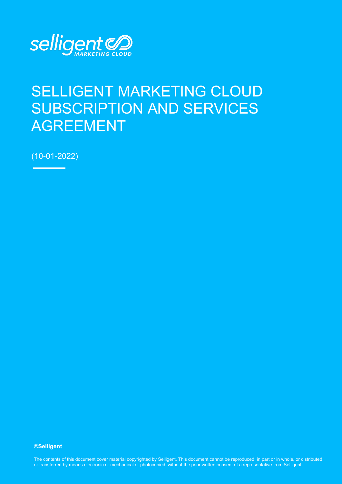

# SELLIGENT MARKETING CLOUD SUBSCRIPTION AND SERVICES AGREEMENT

(10-01-2022)

#### **©Selligent**

The contents of this document cover material copyrighted by Selligent. This document cannot be reproduced, in part or in whole, or distributed or transferred by means electronic or mechanical or photocopied, without the prior written consent of a representative from Selligent.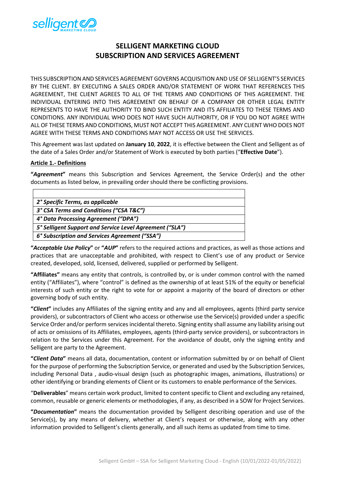

# **SELLIGENT MARKETING CLOUD SUBSCRIPTION AND SERVICES AGREEMENT**

THIS SUBSCRIPTION AND SERVICES AGREEMENT GOVERNS ACQUISITION AND USE OF SELLIGENT'S SERVICES BY THE CLIENT. BY EXECUTING A SALES ORDER AND/OR STATEMENT OF WORK THAT REFERENCES THIS AGREEMENT, THE CLIENT AGREES TO ALL OF THE TERMS AND CONDITIONS OF THIS AGREEMENT. THE INDIVIDUAL ENTERING INTO THIS AGREEMENT ON BEHALF OF A COMPANY OR OTHER LEGAL ENTITY REPRESENTS TO HAVE THE AUTHORITY TO BIND SUCH ENTITY AND ITS AFFILIATES TO THESE TERMS AND CONDITIONS. ANY INDIVIDUAL WHO DOES NOT HAVE SUCH AUTHORITY, OR IF YOU DO NOT AGREE WITH ALL OF THESE TERMS AND CONDITIONS, MUST NOT ACCEPT THIS AGREEMENT. ANY CLIENT WHO DOES NOT AGREE WITH THESE TERMS AND CONDITIONS MAY NOT ACCESS OR USE THE SERVICES.

This Agreement was last updated on **January 10**, **2022**, it is effective between the Client and Selligent as of the date of a Sales Order and/or Statement of Work is executed by both parties ("**Effective Date**").

#### **Article 1.- Definitions**

**"***Agreement***"** means this Subscription and Services Agreement, the Service Order(s) and the other documents as listed below, in prevailing order should there be conflicting provisions.

| 2° Specific Terms, as applicable                         |
|----------------------------------------------------------|
| 3° CSA Terms and Conditions ("CSA T&C")                  |
| 4° Data Processing Agreement ("DPA")                     |
| 5° Selligent Support and Service Level Agreement ("SLA") |
| 6° Subscription and Services Agreement ("SSA")           |

**"***Acceptable Use Policy***"** or **"***AUP***"** refers to the required actions and practices, as well as those actions and practices that are unacceptable and prohibited, with respect to Client's use of any product or Service created, developed, sold, licensed, delivered, supplied or performed by Selligent.

**"Affiliates"** means any entity that controls, is controlled by, or is under common control with the named entity ("Affiliates"), where "control" is defined as the ownership of at least 51% of the equity or beneficial interests of such entity or the right to vote for or appoint a majority of the board of directors or other governing body of such entity.

**"***Client***"** includes any Affiliates of the signing entity and any and all employees, agents (third party service providers), or subcontractors of Client who access or otherwise use the Service(s) provided under a specific Service Order and/or perform services incidental thereto. Signing entity shall assume any liability arising out of acts or omissions of its Affiliates, employees, agents (third-party service providers), or subcontractors in relation to the Services under this Agreement. For the avoidance of doubt, only the signing entity and Selligent are party to the Agreement.

**"***Client Data***"** means all data, documentation, content or information submitted by or on behalf of Client for the purpose of performing the Subscription Service, or generated and used by the Subscription Services, including Personal Data , audio-visual design (such as photographic images, animations, illustrations) or other identifying or branding elements of Client or its customers to enable performance of the Services.

"**Deliverables**" means certain work product, limited to content specific to Client and excluding any retained, common, reusable or generic elements or methodologies, if any, as described in a SOW for Project Services.

**"***Documentation***"** means the documentation provided by Selligent describing operation and use of the Service(s), by any means of delivery, whether at Client's request or otherwise, along with any other information provided to Selligent's clients generally, and all such items as updated from time to time.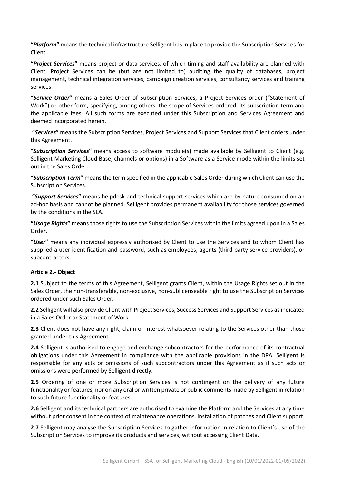**"***Platform***"** means the technical infrastructure Selligent has in place to provide the Subscription Services for Client.

**"***Project Services***"** means project or data services, of which timing and staff availability are planned with Client. Project Services can be (but are not limited to) auditing the quality of databases, project management, technical integration services, campaign creation services, consultancy services and training services.

**"***Service Order***"** means a Sales Order of Subscription Services, a Project Services order ("Statement of Work") or other form, specifying, among others, the scope of Services ordered, its subscription term and the applicable fees. All such forms are executed under this Subscription and Services Agreement and deemed incorporated herein.

 **"***Services***"** means the Subscription Services, Project Services and Support Services that Client orders under this Agreement.

**"***Subscription Services***"** means access to software module(s) made available by Selligent to Client (e.g. Selligent Marketing Cloud Base, channels or options) in a Software as a Service mode within the limits set out in the Sales Order.

**"***Subscription Term***"** means the term specified in the applicable Sales Order during which Client can use the Subscription Services.

 **"***Support Services***"** means helpdesk and technical support services which are by nature consumed on an ad-hoc basis and cannot be planned. Selligent provides permanent availability for those services governed by the conditions in the SLA.

**"***Usage Rights***"** means those rights to use the Subscription Services within the limits agreed upon in a Sales Order.

**"***User***"** means any individual expressly authorised by Client to use the Services and to whom Client has supplied a user identification and password, such as employees, agents (third-party service providers), or subcontractors.

#### **Article 2.- Object**

**2.1** Subject to the terms of this Agreement, Selligent grants Client, within the Usage Rights set out in the Sales Order, the non-transferable, non-exclusive, non-sublicenseable right to use the Subscription Services ordered under such Sales Order.

**2.2** Selligent will also provide Client with Project Services, Success Services and Support Services as indicated in a Sales Order or Statement of Work.

**2.3** Client does not have any right, claim or interest whatsoever relating to the Services other than those granted under this Agreement.

**2.4** Selligent is authorised to engage and exchange subcontractors for the performance of its contractual obligations under this Agreement in compliance with the applicable provisions in the DPA. Selligent is responsible for any acts or omissions of such subcontractors under this Agreement as if such acts or omissions were performed by Selligent directly.

**2.5** Ordering of one or more Subscription Services is not contingent on the delivery of any future functionality or features, nor on any oral or written private or public comments made by Selligent in relation to such future functionality or features.

**2.6** Selligent and its technical partners are authorised to examine the Platform and the Services at any time without prior consent in the context of maintenance operations, installation of patches and Client support.

**2.7** Selligent may analyse the Subscription Services to gather information in relation to Client's use of the Subscription Services to improve its products and services, without accessing Client Data.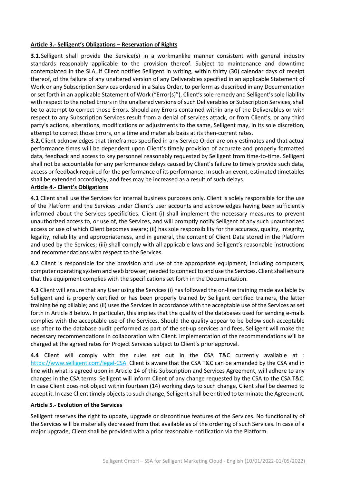#### **Article 3.- Selligent's Obligations – Reservation of Rights**

**3.1.** Selligent shall provide the Service(s) in a workmanlike manner consistent with general industry standards reasonably applicable to the provision thereof. Subject to maintenance and downtime contemplated in the SLA, if Client notifies Selligent in writing, within thirty (30) calendar days of receipt thereof, of the failure of any unaltered version of any Deliverables specified in an applicable Statement of Work or any Subscription Services ordered in a Sales Order, to perform as described in any Documentation or set forth in an applicable Statement of Work ("Error(s)"), Client's sole remedy and Selligent's sole liability with respect to the noted Errors in the unaltered versions of such Deliverables or Subscription Services, shall be to attempt to correct those Errors. Should any Errors contained within any of the Deliverables or with respect to any Subscription Services result from a denial of services attack, or from Client's, or any third party's actions, alterations, modifications or adjustments to the same, Selligent may, in its sole discretion, attempt to correct those Errors, on a time and materials basis at its then-current rates.

**3.2.**Client acknowledges that timeframes specified in any Service Order are only estimates and that actual performance times will be dependent upon Client's timely provision of accurate and properly formatted data, feedback and access to key personnel reasonably requested by Selligent from time-to-time. Selligent shall not be accountable for any performance delays caused by Client's failure to timely provide such data, access or feedback required for the performance of its performance. In such an event, estimated timetables shall be extended accordingly, and fees may be increased as a result of such delays.

#### **Article 4.- Client's Obligations**

**4.1** Client shall use the Services for internal business purposes only. Client is solely responsible for the use of the Platform and the Services under Client's user accounts and acknowledges having been sufficiently informed about the Services specificities. Client (i) shall implement the necessary measures to prevent unauthorized access to, or use of, the Services, and will promptly notify Selligent of any such unauthorized access or use of which Client becomes aware; (ii) has sole responsibility for the accuracy, quality, integrity, legality, reliability and appropriateness, and in general, the content of Client Data stored in the Platform and used by the Services; (iii) shall comply with all applicable laws and Selligent's reasonable instructions and recommendations with respect to the Services.

**4.2** Client is responsible for the provision and use of the appropriate equipment, including computers, computer operating system and web browser, needed to connect to and use the Services. Client shall ensure that this equipment complies with the specifications set forth in the Documentation.

**4.3** Client will ensure that any User using the Services (i) has followed the on-line training made available by Selligent and is properly certified or has been properly trained by Selligent certified trainers, the latter training being billable; and (ii) uses the Services in accordance with the acceptable use of the Services as set forth in Article 8 below. In particular, this implies that the quality of the databases used for sending e-mails complies with the acceptable use of the Services. Should the quality appear to be below such acceptable use after to the database audit performed as part of the set-up services and fees, Selligent will make the necessary recommendations in collaboration with Client. Implementation of the recommendations will be charged at the agreed rates for Project Services subject to Client's prior approval.

**4.4** Client will comply with the rules set out in the CSA T&C currently available at : [https://www.selligent.com/legal-CSA.](https://www.selligent.com/legal-CSA) Client is aware that the CSA T&C can be amended by the CSA and in line with what is agreed upon in Article 14 of this Subscription and Services Agreement, will adhere to any changes in the CSA terms. Selligent will inform Client of any change requested by the CSA to the CSA T&C. In case Client does not object within fourteen (14) working days to such change, Client shall be deemed to accept it. In case Client timely objects to such change, Selligent shall be entitled to terminate the Agreement.

#### **Article 5.- Evolution of the Services**

Selligent reserves the right to update, upgrade or discontinue features of the Services. No functionality of the Services will be materially decreased from that available as of the ordering of such Services. In case of a major upgrade, Client shall be provided with a prior reasonable notification via the Platform.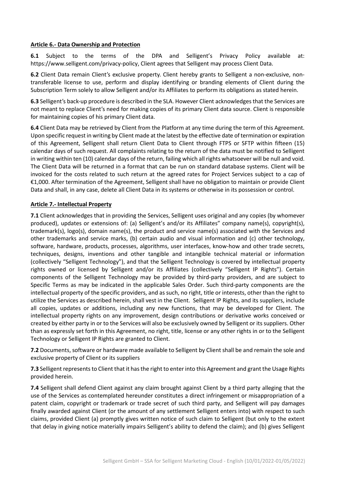#### **Article 6.- Data Ownership and Protection**

**6.1** Subject to the terms of the DPA and Selligent's Privacy Policy available at: [https://www.selligent.com/privacy-policy,](https://www.selligent.com/privacy-policy) Client agrees that Selligent may process Client Data.

**6.2** Client Data remain Client's exclusive property. Client hereby grants to Selligent a non-exclusive, nontransferable license to use, perform and display identifying or branding elements of Client during the Subscription Term solely to allow Selligent and/or its Affiliates to perform its obligations as stated herein.

**6.3** Selligent's back-up procedure is described in the SLA. However Client acknowledges that the Services are not meant to replace Client's need for making copies of its primary Client data source. Client is responsible for maintaining copies of his primary Client data.

**6.4** Client Data may be retrieved by Client from the Platform at any time during the term of this Agreement. Upon specific request in writing by Client made at the latest by the effective date of termination or expiration of this Agreement, Selligent shall return Client Data to Client through FTPS or SFTP within fifteen (15) calendar days of such request. All complaints relating to the return of the data must be notified to Selligent in writing within ten (10) calendar days of the return, failing which all rights whatsoever will be null and void. The Client Data will be returned in a format that can be run on standard database systems. Client will be invoiced for the costs related to such return at the agreed rates for Project Services subject to a cap of €1,000. After termination of the Agreement, Selligent shall have no obligation to maintain or provide Client Data and shall, in any case, delete all Client Data in its systems or otherwise in its possession or control.

#### **Article 7.- Intellectual Property**

**7.1** Client acknowledges that in providing the Services, Selligent uses original and any copies (by whomever produced), updates or extensions of: (a) Selligent's and/or its Affiliates" company name(s), copyright(s), trademark(s), logo(s), domain name(s), the product and service name(s) associated with the Services and other trademarks and service marks, (b) certain audio and visual information and (c) other technology, software, hardware, products, processes, algorithms, user interfaces, know-how and other trade secrets, techniques, designs, inventions and other tangible and intangible technical material or information (collectively "Selligent Technology"), and that the Selligent Technology is covered by intellectual property rights owned or licensed by Selligent and/or its Affiliates (collectively "Selligent IP Rights"). Certain components of the Selligent Technology may be provided by third-party providers, and are subject to Specific Terms as may be indicated in the applicable Sales Order. Such third-party components are the intellectual property of the specific providers, and as such, no right, title or interests, other than the right to utilize the Services as described herein, shall vest in the Client. Selligent IP Rights, and its suppliers, include all copies, updates or additions, including any new functions, that may be developed for Client. The intellectual property rights on any improvement, design contributions or derivative works conceived or created by either party in or to the Services will also be exclusively owned by Selligent or its suppliers. Other than as expressly set forth in this Agreement, no right, title, license or any other rights in or to the Selligent Technology or Selligent IP Rights are granted to Client.

**7.2** Documents, software or hardware made available to Selligent by Client shall be and remain the sole and exclusive property of Client or its suppliers

**7.3** Selligent represents to Client that it has the right to enter into this Agreement and grant the Usage Rights provided herein.

**7.4** Selligent shall defend Client against any claim brought against Client by a third party alleging that the use of the Services as contemplated hereunder constitutes a direct infringement or misappropriation of a patent claim, copyright or trademark or trade secret of such third party, and Selligent will pay damages finally awarded against Client (or the amount of any settlement Selligent enters into) with respect to such claims, provided Client (a) promptly gives written notice of such claim to Selligent (but only to the extent that delay in giving notice materially impairs Selligent's ability to defend the claim); and (b) gives Selligent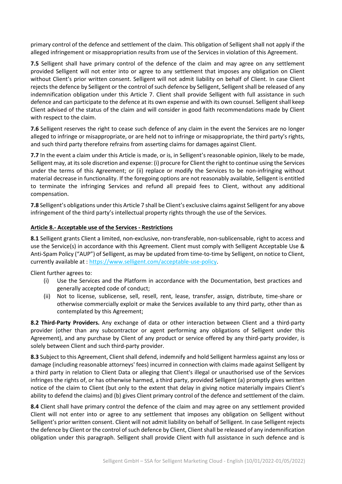primary control of the defence and settlement of the claim. This obligation of Selligent shall not apply if the alleged infringement or misappropriation results from use of the Services in violation of this Agreement.

**7.5** Selligent shall have primary control of the defence of the claim and may agree on any settlement provided Selligent will not enter into or agree to any settlement that imposes any obligation on Client without Client's prior written consent. Selligent will not admit liability on behalf of Client. In case Client rejects the defence by Selligent or the control of such defence by Selligent, Selligent shall be released of any indemnification obligation under this Article 7. Client shall provide Selligent with full assistance in such defence and can participate to the defence at its own expense and with its own counsel. Selligent shall keep Client advised of the status of the claim and will consider in good faith recommendations made by Client with respect to the claim.

**7.6** Selligent reserves the right to cease such defence of any claim in the event the Services are no longer alleged to infringe or misappropriate, or are held not to infringe or misappropriate, the third party's rights, and such third party therefore refrains from asserting claims for damages against Client.

**7.7** In the event a claim under this Article is made, or is, in Selligent's reasonable opinion, likely to be made, Selligent may, at its sole discretion and expense: (i) procure for Client the right to continue using the Services under the terms of this Agreement; or (ii) replace or modify the Services to be non-infringing without material decrease in functionality. If the foregoing options are not reasonably available, Selligent is entitled to terminate the infringing Services and refund all prepaid fees to Client, without any additional compensation.

**7.8** Selligent's obligations under this Article 7 shall be Client's exclusive claims against Selligent for any above infringement of the third party's intellectual property rights through the use of the Services.

#### **Article 8.- Acceptable use of the Services - Restrictions**

**8.1** Selligent grants Client a limited, non-exclusive, non-transferable, non-sublicensable, right to access and use the Service(s) in accordance with this Agreement. Client must comply with Selligent Acceptable Use & Anti-Spam Policy ("AUP") of Selligent, as may be updated from time-to-time by Selligent, on notice to Client, currently available at : [https://www.selligent.com/acceptable-use-policy.](https://selligent.com/acceptable-use-policy)

Client further agrees to:

- (i) Use the Services and the Platform in accordance with the Documentation, best practices and generally accepted code of conduct;
- (ii) Not to license, sublicense, sell, resell, rent, lease, transfer, assign, distribute, time-share or otherwise commercially exploit or make the Services available to any third party, other than as contemplated by this Agreement;

**8.2 Third-Party Providers.** Any exchange of data or other interaction between Client and a third-party provider (other than any subcontractor or agent performing any obligations of Selligent under this Agreement), and any purchase by Client of any product or service offered by any third-party provider, is solely between Client and such third-party provider.

**8.3** Subject to this Agreement, Client shall defend, indemnify and hold Selligent harmless against any loss or damage (including reasonable attorneys' fees) incurred in connection with claims made against Selligent by a third party in relation to Client Data or alleging that Client's illegal or unauthorised use of the Services infringes the rights of, or has otherwise harmed, a third party, provided Selligent (a) promptly gives written notice of the claim to Client (but only to the extent that delay in giving notice materially impairs Client's ability to defend the claims) and (b) gives Client primary control of the defence and settlement of the claim.

**8.4** Client shall have primary control the defence of the claim and may agree on any settlement provided Client will not enter into or agree to any settlement that imposes any obligation on Selligent without Selligent's prior written consent. Client will not admit liability on behalf of Selligent. In case Selligent rejects the defence by Client or the control of such defence by Client, Client shall be released of any indemnification obligation under this paragraph. Selligent shall provide Client with full assistance in such defence and is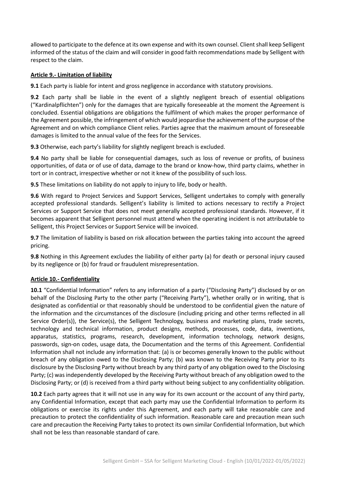allowed to participate to the defence at its own expense and with its own counsel. Client shall keep Selligent informed of the status of the claim and will consider in good faith recommendations made by Selligent with respect to the claim.

### **Article 9.- Limitation of liability**

**9.1** Each party is liable for intent and gross negligence in accordance with statutory provisions.

**9.2** Each party shall be liable in the event of a slightly negligent breach of essential obligations ("Kardinalpflichten") only for the damages that are typically foreseeable at the moment the Agreement is concluded. Essential obligations are obligations the fulfilment of which makes the proper performance of the Agreement possible, the infringement of which would jeopardise the achievement of the purpose of the Agreement and on which compliance Client relies. Parties agree that the maximum amount of foreseeable damages is limited to the annual value of the fees for the Services.

**9.3** Otherwise, each party's liability for slightly negligent breach is excluded.

**9.4** No party shall be liable for consequential damages, such as loss of revenue or profits, of business opportunities, of data or of use of data, damage to the brand or know-how, third party claims, whether in tort or in contract, irrespective whether or not it knew of the possibility of such loss.

**9.5** These limitations on liability do not apply to injury to life, body or health.

**9.6** With regard to Project Services and Support Services, Selligent undertakes to comply with generally accepted professional standards. Selligent's liability is limited to actions necessary to rectify a Project Services or Support Service that does not meet generally accepted professional standards. However, if it becomes apparent that Selligent personnel must attend when the operating incident is not attributable to Selligent, this Project Services or Support Service will be invoiced.

**9.7** The limitation of liability is based on risk allocation between the parties taking into account the agreed pricing.

**9.8** Nothing in this Agreement excludes the liability of either party (a) for death or personal injury caused by its negligence or (b) for fraud or fraudulent misrepresentation.

# **Article 10.- Confidentiality**

**10.1** "Confidential Information" refers to any information of a party ("Disclosing Party") disclosed by or on behalf of the Disclosing Party to the other party ("Receiving Party"), whether orally or in writing, that is designated as confidential or that reasonably should be understood to be confidential given the nature of the information and the circumstances of the disclosure (including pricing and other terms reflected in all Service Order(s)), the Service(s), the Selligent Technology, business and marketing plans, trade secrets, technology and technical information, product designs, methods, processes, code, data, inventions, apparatus, statistics, programs, research, development, information technology, network designs, passwords, sign-on codes, usage data, the Documentation and the terms of this Agreement. Confidential Information shall not include any information that: (a) is or becomes generally known to the public without breach of any obligation owed to the Disclosing Party; (b) was known to the Receiving Party prior to its disclosure by the Disclosing Party without breach by any third party of any obligation owed to the Disclosing Party; (c) was independently developed by the Receiving Party without breach of any obligation owed to the Disclosing Party; or (d) is received from a third party without being subject to any confidentiality obligation.

**10.2** Each party agrees that it will not use in any way for its own account or the account of any third party, any Confidential Information, except that each party may use the Confidential Information to perform its obligations or exercise its rights under this Agreement, and each party will take reasonable care and precaution to protect the confidentiality of such information. Reasonable care and precaution mean such care and precaution the Receiving Party takes to protect its own similar Confidential Information, but which shall not be less than reasonable standard of care.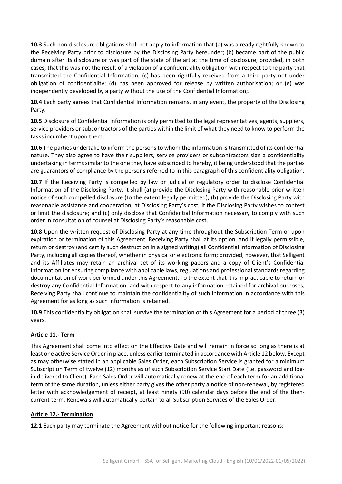**10.3** Such non-disclosure obligations shall not apply to information that (a) was already rightfully known to the Receiving Party prior to disclosure by the Disclosing Party hereunder; (b) became part of the public domain after its disclosure or was part of the state of the art at the time of disclosure, provided, in both cases, that this was not the result of a violation of a confidentiality obligation with respect to the party that transmitted the Confidential Information; (c) has been rightfully received from a third party not under obligation of confidentiality; (d) has been approved for release by written authorisation; or (e) was independently developed by a party without the use of the Confidential Information;.

**10.4** Each party agrees that Confidential Information remains, in any event, the property of the Disclosing Party.

**10.5** Disclosure of Confidential Information is only permitted to the legal representatives, agents, suppliers, service providers or subcontractors of the parties within the limit of what they need to know to perform the tasks incumbent upon them.

**10.6** The parties undertake to inform the persons to whom the information is transmitted of its confidential nature. They also agree to have their suppliers, service providers or subcontractors sign a confidentiality undertaking in terms similar to the one they have subscribed to hereby, it being understood that the parties are guarantors of compliance by the persons referred to in this paragraph of this confidentiality obligation.

**10.7** If the Receiving Party is compelled by law or judicial or regulatory order to disclose Confidential Information of the Disclosing Party, it shall (a) provide the Disclosing Party with reasonable prior written notice of such compelled disclosure (to the extent legally permitted); (b) provide the Disclosing Party with reasonable assistance and cooperation, at Disclosing Party's cost, if the Disclosing Party wishes to contest or limit the disclosure; and (c) only disclose that Confidential Information necessary to comply with such order in consultation of counsel at Disclosing Party's reasonable cost.

**10.8** Upon the written request of Disclosing Party at any time throughout the Subscription Term or upon expiration or termination of this Agreement, Receiving Party shall at its option, and if legally permissible, return or destroy (and certify such destruction in a signed writing) all Confidential Information of Disclosing Party, including all copies thereof, whether in physical or electronic form; provided, however, that Selligent and its Affiliates may retain an archival set of its working papers and a copy of Client's Confidential Information for ensuring compliance with applicable laws, regulations and professional standards regarding documentation of work performed under this Agreement. To the extent that it is impracticable to return or destroy any Confidential Information, and with respect to any information retained for archival purposes, Receiving Party shall continue to maintain the confidentiality of such information in accordance with this Agreement for as long as such information is retained.

**10.9** This confidentiality obligation shall survive the termination of this Agreement for a period of three (3) years.

# **Article 11.- Term**

This Agreement shall come into effect on the Effective Date and will remain in force so long as there is at least one active Service Order in place, unless earlier terminated in accordance with Article 12 below. Except as may otherwise stated in an applicable Sales Order, each Subscription Service is granted for a minimum Subscription Term of twelve (12) months as of such Subscription Service Start Date (i.e. password and login delivered to Client). Each Sales Order will automatically renew at the end of each term for an additional term of the same duration, unless either party gives the other party a notice of non-renewal, by registered letter with acknowledgement of receipt, at least ninety (90) calendar days before the end of the thencurrent term. Renewals will automatically pertain to all Subscription Services of the Sales Order.

# **Article 12.- Termination**

**12.1** Each party may terminate the Agreement without notice for the following important reasons: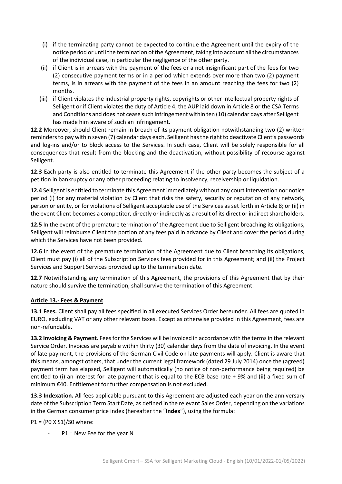- (i) if the terminating party cannot be expected to continue the Agreement until the expiry of the notice period or until the termination of the Agreement, taking into account all the circumstances of the individual case, in particular the negligence of the other party.
- (ii) if Client is in arrears with the payment of the fees or a not insignificant part of the fees for two (2) consecutive payment terms or in a period which extends over more than two (2) payment terms, is in arrears with the payment of the fees in an amount reaching the fees for two (2) months.
- (iii) if Client violates the industrial property rights, copyrights or other intellectual property rights of Selligent or if Client violates the duty of Article 4, the AUP laid down in Article 8 or the CSA Terms and Conditions and does not cease such infringement within ten (10) calendar days after Selligent has made him aware of such an infringement.

**12.2** Moreover, should Client remain in breach of its payment obligation notwithstanding two (2) written reminders to pay within seven (7) calendar days each, Selligent has the right to deactivate Client's passwords and log-ins and/or to block access to the Services. In such case, Client will be solely responsible for all consequences that result from the blocking and the deactivation, without possibility of recourse against Selligent.

**12.3** Each party is also entitled to terminate this Agreement if the other party becomes the subject of a petition in bankruptcy or any other proceeding relating to insolvency, receivership or liquidation.

**12.4** Selligent is entitled to terminate this Agreement immediately without any court intervention nor notice period (i) for any material violation by Client that risks the safety, security or reputation of any network, person or entity, or for violations of Selligent acceptable use of the Services as set forth in Article 8; or (ii) in the event Client becomes a competitor, directly or indirectly as a result of its direct or indirect shareholders.

**12.5** In the event of the premature termination of the Agreement due to Selligent breaching its obligations, Selligent will reimburse Client the portion of any fees paid in advance by Client and cover the period during which the Services have not been provided.

**12.6** In the event of the premature termination of the Agreement due to Client breaching its obligations, Client must pay (i) all of the Subscription Services fees provided for in this Agreement; and (ii) the Project Services and Support Services provided up to the termination date.

**12.7** Notwithstanding any termination of this Agreement, the provisions of this Agreement that by their nature should survive the termination, shall survive the termination of this Agreement.

# **Article 13.- Fees & Payment**

**13.1 Fees.** Client shall pay all fees specified in all executed Services Order hereunder. All fees are quoted in EURO, excluding VAT or any other relevant taxes. Except as otherwise provided in this Agreement, fees are non-refundable.

**13.2 Invoicing & Payment.** Fees for the Services will be invoiced in accordance with the terms in the relevant Service Order. Invoices are payable within thirty (30) calendar days from the date of invoicing. In the event of late payment, the provisions of the German Civil Code on late payments will apply. Client is aware that this means, amongst others, that under the current legal framework (dated 29 July 2014) once the (agreed) payment term has elapsed, Selligent will automatically (no notice of non-performance being required) be entitled to (i) an interest for late payment that is equal to the ECB base rate + 9% and (ii) a fixed sum of minimum €40. Entitlement for further compensation is not excluded.

**13.3 Indexation.** All fees applicable pursuant to this Agreement are adjusted each year on the anniversary date of the Subscription Term Start Date, as defined in the relevant Sales Order, depending on the variations in the German consumer price index (hereafter the "**Index**"), using the formula:

P1 = (P0 X S1)/S0 where:

 $P1$  = New Fee for the year N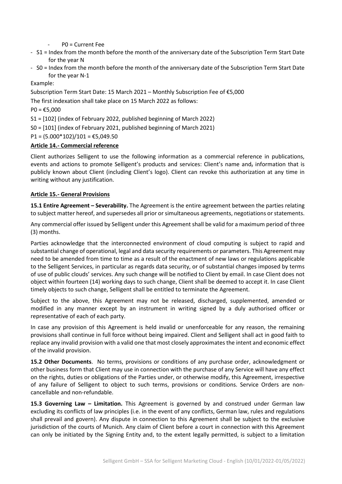P0 = Current Fee

- S1 = Index from the month before the month of the anniversary date of the Subscription Term Start Date for the year N
- S0 = Index from the month before the month of the anniversary date of the Subscription Term Start Date for the year N-1

Example:

Subscription Term Start Date: 15 March 2021 – Monthly Subscription Fee of €5,000

The first indexation shall take place on 15 March 2022 as follows:

 $PO = £5,000$ 

S1 = [102] (index of February 2022, published beginning of March 2022)

S0 = [101] (index of February 2021, published beginning of March 2021)

 $P1 = (5.000*102)/101 = \text{\textsterling}5,049.50$ 

#### **Article 14.- Commercial reference**

Client authorizes Selligent to use the following information as a commercial reference in publications, events and actions to promote Selligent's products and services: Client's name and, information that is publicly known about Client (including Client's logo). Client can revoke this authorization at any time in writing without any justification.

#### **Article 15.- General Provisions**

**15.1 Entire Agreement – Severability.** The Agreement is the entire agreement between the parties relating to subject matter hereof, and supersedes all prior or simultaneous agreements, negotiations or statements.

Any commercial offer issued by Selligent under this Agreement shall be valid for a maximum period of three (3) months.

Parties acknowledge that the interconnected environment of cloud computing is subject to rapid and substantial change of operational, legal and data security requirements or parameters. This Agreement may need to be amended from time to time as a result of the enactment of new laws or regulations applicable to the Selligent Services, in particular as regards data security, or of substantial changes imposed by terms of use of public clouds' services. Any such change will be notified to Client by email. In case Client does not object within fourteen (14) working days to such change, Client shall be deemed to accept it. In case Client timely objects to such change, Selligent shall be entitled to terminate the Agreement.

Subject to the above, this Agreement may not be released, discharged, supplemented, amended or modified in any manner except by an instrument in writing signed by a duly authorised officer or representative of each of each party.

In case any provision of this Agreement is held invalid or unenforceable for any reason, the remaining provisions shall continue in full force without being impaired. Client and Selligent shall act in good faith to replace any invalid provision with a valid one that most closely approximates the intent and economic effect of the invalid provision.

**15.2 Other Documents**. No terms, provisions or conditions of any purchase order, acknowledgment or other business form that Client may use in connection with the purchase of any Service will have any effect on the rights, duties or obligations of the Parties under, or otherwise modify, this Agreement, irrespective of any failure of Selligent to object to such terms, provisions or conditions. Service Orders are noncancellable and non-refundable.

**15.3 Governing Law – Limitation.** This Agreement is governed by and construed under German law excluding its conflicts of law principles (i.e. in the event of any conflicts, German law, rules and regulations shall prevail and govern). Any dispute in connection to this Agreement shall be subject to the exclusive jurisdiction of the courts of Munich. Any claim of Client before a court in connection with this Agreement can only be initiated by the Signing Entity and, to the extent legally permitted, is subject to a limitation